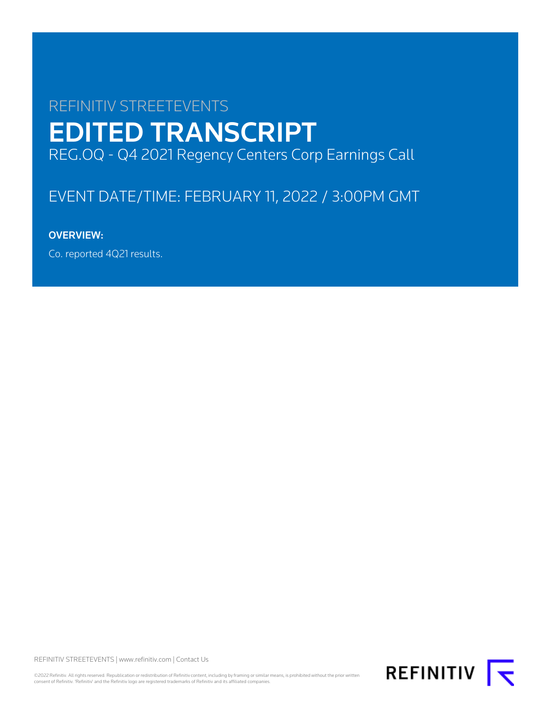# REFINITIV STREETEVENTS EDITED TRANSCRIPT REG.OQ - Q4 2021 Regency Centers Corp Earnings Call

# EVENT DATE/TIME: FEBRUARY 11, 2022 / 3:00PM GMT

# OVERVIEW:

Co. reported 4Q21 results.

REFINITIV STREETEVENTS | [www.refinitiv.com](https://www.refinitiv.com/) | [Contact Us](https://www.refinitiv.com/en/contact-us)

©2022 Refinitiv. All rights reserved. Republication or redistribution of Refinitiv content, including by framing or similar means, is prohibited without the prior written<br>consent of Refinitiv. 'Refinitiv' and the Refinitiv

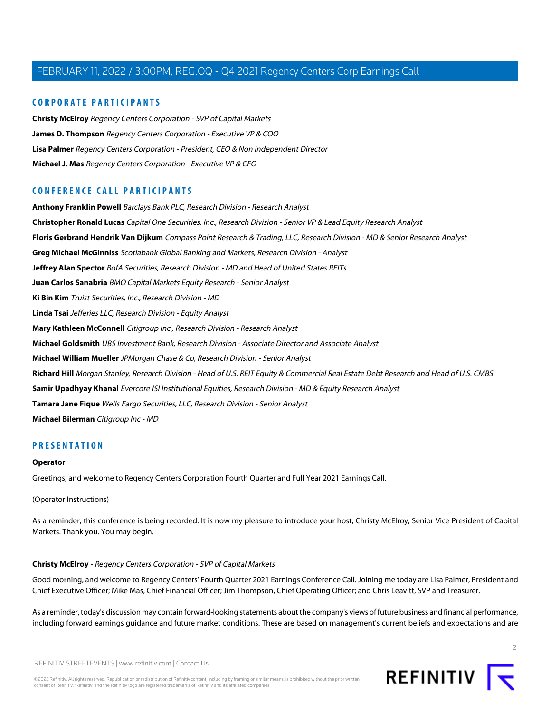# **CORPORATE PARTICIPANTS**

**[Christy McElroy](#page-1-0)** Regency Centers Corporation - SVP of Capital Markets **[James D. Thompson](#page-3-0)** Regency Centers Corporation - Executive VP & COO **[Lisa Palmer](#page-2-0)** Regency Centers Corporation - President, CEO & Non Independent Director **[Michael J. Mas](#page-4-0)** Regency Centers Corporation - Executive VP & CFO

# **CONFERENCE CALL PARTICIPANTS**

**[Anthony Franklin Powell](#page-16-0)** Barclays Bank PLC, Research Division - Research Analyst **[Christopher Ronald Lucas](#page-19-0)** Capital One Securities, Inc., Research Division - Senior VP & Lead Equity Research Analyst **[Floris Gerbrand Hendrik Van Dijkum](#page-10-0)** Compass Point Research & Trading, LLC, Research Division - MD & Senior Research Analyst **[Greg Michael McGinniss](#page-17-0)** Scotiabank Global Banking and Markets, Research Division - Analyst **[Jeffrey Alan Spector](#page-14-0)** BofA Securities, Research Division - MD and Head of United States REITs **[Juan Carlos Sanabria](#page-13-0)** BMO Capital Markets Equity Research - Senior Analyst **[Ki Bin Kim](#page-16-1)** Truist Securities, Inc., Research Division - MD **[Linda Tsai](#page-19-1)** Jefferies LLC, Research Division - Equity Analyst **[Mary Kathleen McConnell](#page-7-0)** Citigroup Inc., Research Division - Research Analyst **[Michael Goldsmith](#page-9-0)** UBS Investment Bank, Research Division - Associate Director and Associate Analyst **[Michael William Mueller](#page-18-0)** JPMorgan Chase & Co, Research Division - Senior Analyst **[Richard Hill](#page-5-0)** Morgan Stanley, Research Division - Head of U.S. REIT Equity & Commercial Real Estate Debt Research and Head of U.S. CMBS **[Samir Upadhyay Khanal](#page-12-0)** Evercore ISI Institutional Equities, Research Division - MD & Equity Research Analyst **[Tamara Jane Fique](#page-21-0)** Wells Fargo Securities, LLC, Research Division - Senior Analyst **[Michael Bilerman](#page-7-1)** Citigroup Inc - MD

# **PRESENTATION**

#### **Operator**

Greetings, and welcome to Regency Centers Corporation Fourth Quarter and Full Year 2021 Earnings Call.

<span id="page-1-0"></span>(Operator Instructions)

As a reminder, this conference is being recorded. It is now my pleasure to introduce your host, Christy McElroy, Senior Vice President of Capital Markets. Thank you. You may begin.

#### **Christy McElroy** - Regency Centers Corporation - SVP of Capital Markets

Good morning, and welcome to Regency Centers' Fourth Quarter 2021 Earnings Conference Call. Joining me today are Lisa Palmer, President and Chief Executive Officer; Mike Mas, Chief Financial Officer; Jim Thompson, Chief Operating Officer; and Chris Leavitt, SVP and Treasurer.

As a reminder, today's discussion may contain forward-looking statements about the company's views of future business and financial performance, including forward earnings guidance and future market conditions. These are based on management's current beliefs and expectations and are



REFINITIV STREETEVENTS | [www.refinitiv.com](https://www.refinitiv.com/) | [Contact Us](https://www.refinitiv.com/en/contact-us)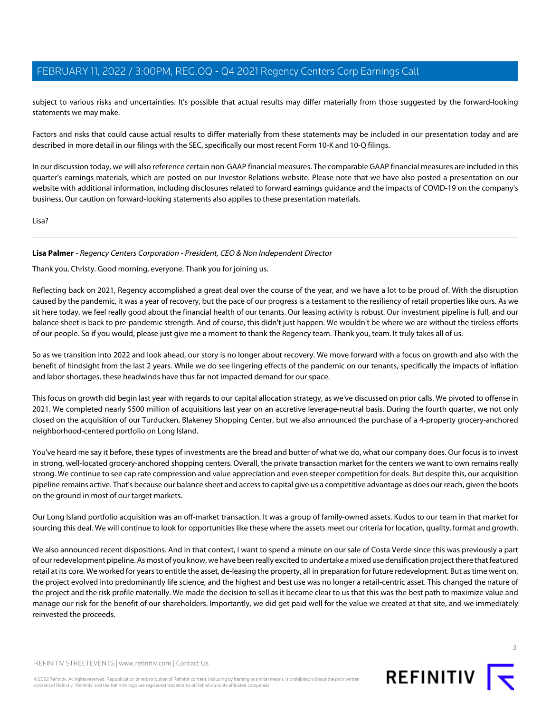subject to various risks and uncertainties. It's possible that actual results may differ materially from those suggested by the forward-looking statements we may make.

Factors and risks that could cause actual results to differ materially from these statements may be included in our presentation today and are described in more detail in our filings with the SEC, specifically our most recent Form 10-K and 10-Q filings.

In our discussion today, we will also reference certain non-GAAP financial measures. The comparable GAAP financial measures are included in this quarter's earnings materials, which are posted on our Investor Relations website. Please note that we have also posted a presentation on our website with additional information, including disclosures related to forward earnings guidance and the impacts of COVID-19 on the company's business. Our caution on forward-looking statements also applies to these presentation materials.

<span id="page-2-0"></span>Lisa?

# **Lisa Palmer** - Regency Centers Corporation - President, CEO & Non Independent Director

Thank you, Christy. Good morning, everyone. Thank you for joining us.

Reflecting back on 2021, Regency accomplished a great deal over the course of the year, and we have a lot to be proud of. With the disruption caused by the pandemic, it was a year of recovery, but the pace of our progress is a testament to the resiliency of retail properties like ours. As we sit here today, we feel really good about the financial health of our tenants. Our leasing activity is robust. Our investment pipeline is full, and our balance sheet is back to pre-pandemic strength. And of course, this didn't just happen. We wouldn't be where we are without the tireless efforts of our people. So if you would, please just give me a moment to thank the Regency team. Thank you, team. It truly takes all of us.

So as we transition into 2022 and look ahead, our story is no longer about recovery. We move forward with a focus on growth and also with the benefit of hindsight from the last 2 years. While we do see lingering effects of the pandemic on our tenants, specifically the impacts of inflation and labor shortages, these headwinds have thus far not impacted demand for our space.

This focus on growth did begin last year with regards to our capital allocation strategy, as we've discussed on prior calls. We pivoted to offense in 2021. We completed nearly \$500 million of acquisitions last year on an accretive leverage-neutral basis. During the fourth quarter, we not only closed on the acquisition of our Turducken, Blakeney Shopping Center, but we also announced the purchase of a 4-property grocery-anchored neighborhood-centered portfolio on Long Island.

You've heard me say it before, these types of investments are the bread and butter of what we do, what our company does. Our focus is to invest in strong, well-located grocery-anchored shopping centers. Overall, the private transaction market for the centers we want to own remains really strong. We continue to see cap rate compression and value appreciation and even steeper competition for deals. But despite this, our acquisition pipeline remains active. That's because our balance sheet and access to capital give us a competitive advantage as does our reach, given the boots on the ground in most of our target markets.

Our Long Island portfolio acquisition was an off-market transaction. It was a group of family-owned assets. Kudos to our team in that market for sourcing this deal. We will continue to look for opportunities like these where the assets meet our criteria for location, quality, format and growth.

We also announced recent dispositions. And in that context, I want to spend a minute on our sale of Costa Verde since this was previously a part of our redevelopment pipeline. As most of you know, we have been really excited to undertake a mixed use densification project there that featured retail at its core. We worked for years to entitle the asset, de-leasing the property, all in preparation for future redevelopment. But as time went on, the project evolved into predominantly life science, and the highest and best use was no longer a retail-centric asset. This changed the nature of the project and the risk profile materially. We made the decision to sell as it became clear to us that this was the best path to maximize value and manage our risk for the benefit of our shareholders. Importantly, we did get paid well for the value we created at that site, and we immediately reinvested the proceeds.

REFINITIV STREETEVENTS | [www.refinitiv.com](https://www.refinitiv.com/) | [Contact Us](https://www.refinitiv.com/en/contact-us)

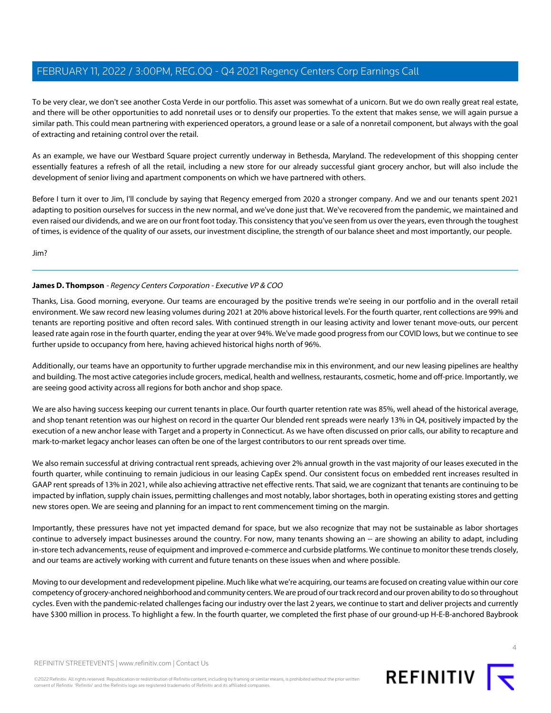To be very clear, we don't see another Costa Verde in our portfolio. This asset was somewhat of a unicorn. But we do own really great real estate, and there will be other opportunities to add nonretail uses or to densify our properties. To the extent that makes sense, we will again pursue a similar path. This could mean partnering with experienced operators, a ground lease or a sale of a nonretail component, but always with the goal of extracting and retaining control over the retail.

As an example, we have our Westbard Square project currently underway in Bethesda, Maryland. The redevelopment of this shopping center essentially features a refresh of all the retail, including a new store for our already successful giant grocery anchor, but will also include the development of senior living and apartment components on which we have partnered with others.

Before I turn it over to Jim, I'll conclude by saying that Regency emerged from 2020 a stronger company. And we and our tenants spent 2021 adapting to position ourselves for success in the new normal, and we've done just that. We've recovered from the pandemic, we maintained and even raised our dividends, and we are on our front foot today. This consistency that you've seen from us over the years, even through the toughest of times, is evidence of the quality of our assets, our investment discipline, the strength of our balance sheet and most importantly, our people.

<span id="page-3-0"></span>Jim?

# **James D. Thompson** - Regency Centers Corporation - Executive VP & COO

Thanks, Lisa. Good morning, everyone. Our teams are encouraged by the positive trends we're seeing in our portfolio and in the overall retail environment. We saw record new leasing volumes during 2021 at 20% above historical levels. For the fourth quarter, rent collections are 99% and tenants are reporting positive and often record sales. With continued strength in our leasing activity and lower tenant move-outs, our percent leased rate again rose in the fourth quarter, ending the year at over 94%. We've made good progress from our COVID lows, but we continue to see further upside to occupancy from here, having achieved historical highs north of 96%.

Additionally, our teams have an opportunity to further upgrade merchandise mix in this environment, and our new leasing pipelines are healthy and building. The most active categories include grocers, medical, health and wellness, restaurants, cosmetic, home and off-price. Importantly, we are seeing good activity across all regions for both anchor and shop space.

We are also having success keeping our current tenants in place. Our fourth quarter retention rate was 85%, well ahead of the historical average, and shop tenant retention was our highest on record in the quarter Our blended rent spreads were nearly 13% in Q4, positively impacted by the execution of a new anchor lease with Target and a property in Connecticut. As we have often discussed on prior calls, our ability to recapture and mark-to-market legacy anchor leases can often be one of the largest contributors to our rent spreads over time.

We also remain successful at driving contractual rent spreads, achieving over 2% annual growth in the vast majority of our leases executed in the fourth quarter, while continuing to remain judicious in our leasing CapEx spend. Our consistent focus on embedded rent increases resulted in GAAP rent spreads of 13% in 2021, while also achieving attractive net effective rents. That said, we are cognizant that tenants are continuing to be impacted by inflation, supply chain issues, permitting challenges and most notably, labor shortages, both in operating existing stores and getting new stores open. We are seeing and planning for an impact to rent commencement timing on the margin.

Importantly, these pressures have not yet impacted demand for space, but we also recognize that may not be sustainable as labor shortages continue to adversely impact businesses around the country. For now, many tenants showing an -- are showing an ability to adapt, including in-store tech advancements, reuse of equipment and improved e-commerce and curbside platforms. We continue to monitor these trends closely, and our teams are actively working with current and future tenants on these issues when and where possible.

Moving to our development and redevelopment pipeline. Much like what we're acquiring, our teams are focused on creating value within our core competency of grocery-anchored neighborhood and community centers. We are proud of our track record and our proven ability to do so throughout cycles. Even with the pandemic-related challenges facing our industry over the last 2 years, we continue to start and deliver projects and currently have \$300 million in process. To highlight a few. In the fourth quarter, we completed the first phase of our ground-up H-E-B-anchored Baybrook

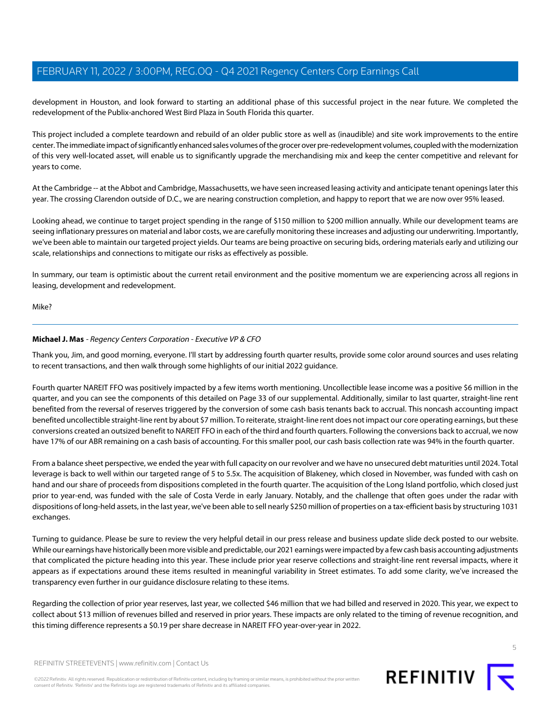development in Houston, and look forward to starting an additional phase of this successful project in the near future. We completed the redevelopment of the Publix-anchored West Bird Plaza in South Florida this quarter.

This project included a complete teardown and rebuild of an older public store as well as (inaudible) and site work improvements to the entire center. The immediate impact of significantly enhanced sales volumes of the grocer over pre-redevelopment volumes, coupled with the modernization of this very well-located asset, will enable us to significantly upgrade the merchandising mix and keep the center competitive and relevant for years to come.

At the Cambridge -- at the Abbot and Cambridge, Massachusetts, we have seen increased leasing activity and anticipate tenant openings later this year. The crossing Clarendon outside of D.C., we are nearing construction completion, and happy to report that we are now over 95% leased.

Looking ahead, we continue to target project spending in the range of \$150 million to \$200 million annually. While our development teams are seeing inflationary pressures on material and labor costs, we are carefully monitoring these increases and adjusting our underwriting. Importantly, we've been able to maintain our targeted project yields. Our teams are being proactive on securing bids, ordering materials early and utilizing our scale, relationships and connections to mitigate our risks as effectively as possible.

In summary, our team is optimistic about the current retail environment and the positive momentum we are experiencing across all regions in leasing, development and redevelopment.

<span id="page-4-0"></span>Mike?

# **Michael J. Mas** - Regency Centers Corporation - Executive VP & CFO

Thank you, Jim, and good morning, everyone. I'll start by addressing fourth quarter results, provide some color around sources and uses relating to recent transactions, and then walk through some highlights of our initial 2022 guidance.

Fourth quarter NAREIT FFO was positively impacted by a few items worth mentioning. Uncollectible lease income was a positive \$6 million in the quarter, and you can see the components of this detailed on Page 33 of our supplemental. Additionally, similar to last quarter, straight-line rent benefited from the reversal of reserves triggered by the conversion of some cash basis tenants back to accrual. This noncash accounting impact benefited uncollectible straight-line rent by about \$7 million. To reiterate, straight-line rent does not impact our core operating earnings, but these conversions created an outsized benefit to NAREIT FFO in each of the third and fourth quarters. Following the conversions back to accrual, we now have 17% of our ABR remaining on a cash basis of accounting. For this smaller pool, our cash basis collection rate was 94% in the fourth quarter.

From a balance sheet perspective, we ended the year with full capacity on our revolver and we have no unsecured debt maturities until 2024. Total leverage is back to well within our targeted range of 5 to 5.5x. The acquisition of Blakeney, which closed in November, was funded with cash on hand and our share of proceeds from dispositions completed in the fourth quarter. The acquisition of the Long Island portfolio, which closed just prior to year-end, was funded with the sale of Costa Verde in early January. Notably, and the challenge that often goes under the radar with dispositions of long-held assets, in the last year, we've been able to sell nearly \$250 million of properties on a tax-efficient basis by structuring 1031 exchanges.

Turning to guidance. Please be sure to review the very helpful detail in our press release and business update slide deck posted to our website. While our earnings have historically been more visible and predictable, our 2021 earnings were impacted by a few cash basis accounting adjustments that complicated the picture heading into this year. These include prior year reserve collections and straight-line rent reversal impacts, where it appears as if expectations around these items resulted in meaningful variability in Street estimates. To add some clarity, we've increased the transparency even further in our guidance disclosure relating to these items.

Regarding the collection of prior year reserves, last year, we collected \$46 million that we had billed and reserved in 2020. This year, we expect to collect about \$13 million of revenues billed and reserved in prior years. These impacts are only related to the timing of revenue recognition, and this timing difference represents a \$0.19 per share decrease in NAREIT FFO year-over-year in 2022.



©2022 Refinitiv. All rights reserved. Republication or redistribution of Refinitiv content, including by framing or similar means, is prohibited without the prior written consent of Refinitiv. 'Refinitiv' and the Refinitiv logo are registered trademarks of Refinitiv and its affiliated companies.

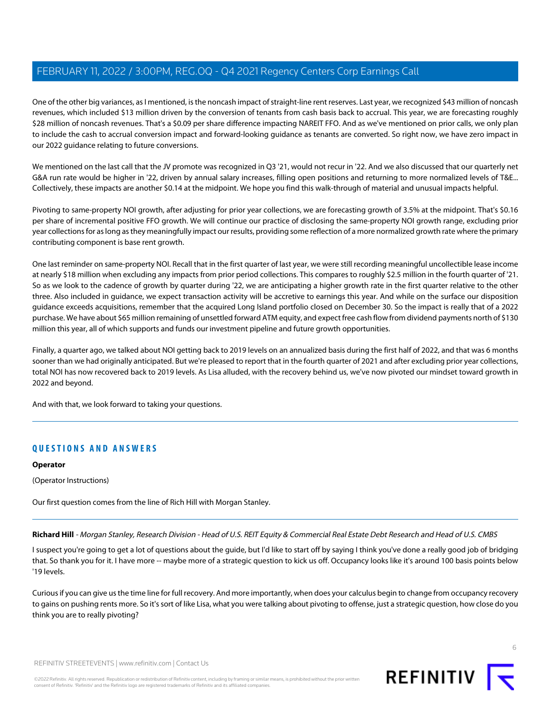One of the other big variances, as I mentioned, is the noncash impact of straight-line rent reserves. Last year, we recognized \$43 million of noncash revenues, which included \$13 million driven by the conversion of tenants from cash basis back to accrual. This year, we are forecasting roughly \$28 million of noncash revenues. That's a \$0.09 per share difference impacting NAREIT FFO. And as we've mentioned on prior calls, we only plan to include the cash to accrual conversion impact and forward-looking guidance as tenants are converted. So right now, we have zero impact in our 2022 guidance relating to future conversions.

We mentioned on the last call that the JV promote was recognized in Q3 '21, would not recur in '22. And we also discussed that our quarterly net G&A run rate would be higher in '22, driven by annual salary increases, filling open positions and returning to more normalized levels of T&E... Collectively, these impacts are another \$0.14 at the midpoint. We hope you find this walk-through of material and unusual impacts helpful.

Pivoting to same-property NOI growth, after adjusting for prior year collections, we are forecasting growth of 3.5% at the midpoint. That's \$0.16 per share of incremental positive FFO growth. We will continue our practice of disclosing the same-property NOI growth range, excluding prior year collections for as long as they meaningfully impact our results, providing some reflection of a more normalized growth rate where the primary contributing component is base rent growth.

One last reminder on same-property NOI. Recall that in the first quarter of last year, we were still recording meaningful uncollectible lease income at nearly \$18 million when excluding any impacts from prior period collections. This compares to roughly \$2.5 million in the fourth quarter of '21. So as we look to the cadence of growth by quarter during '22, we are anticipating a higher growth rate in the first quarter relative to the other three. Also included in guidance, we expect transaction activity will be accretive to earnings this year. And while on the surface our disposition guidance exceeds acquisitions, remember that the acquired Long Island portfolio closed on December 30. So the impact is really that of a 2022 purchase. We have about \$65 million remaining of unsettled forward ATM equity, and expect free cash flow from dividend payments north of \$130 million this year, all of which supports and funds our investment pipeline and future growth opportunities.

Finally, a quarter ago, we talked about NOI getting back to 2019 levels on an annualized basis during the first half of 2022, and that was 6 months sooner than we had originally anticipated. But we're pleased to report that in the fourth quarter of 2021 and after excluding prior year collections, total NOI has now recovered back to 2019 levels. As Lisa alluded, with the recovery behind us, we've now pivoted our mindset toward growth in 2022 and beyond.

And with that, we look forward to taking your questions.

# **QUESTIONS AND ANSWERS**

# **Operator**

<span id="page-5-0"></span>(Operator Instructions)

Our first question comes from the line of Rich Hill with Morgan Stanley.

**Richard Hill** - Morgan Stanley, Research Division - Head of U.S. REIT Equity & Commercial Real Estate Debt Research and Head of U.S. CMBS

I suspect you're going to get a lot of questions about the guide, but I'd like to start off by saying I think you've done a really good job of bridging that. So thank you for it. I have more -- maybe more of a strategic question to kick us off. Occupancy looks like it's around 100 basis points below '19 levels.

Curious if you can give us the time line for full recovery. And more importantly, when does your calculus begin to change from occupancy recovery to gains on pushing rents more. So it's sort of like Lisa, what you were talking about pivoting to offense, just a strategic question, how close do you think you are to really pivoting?

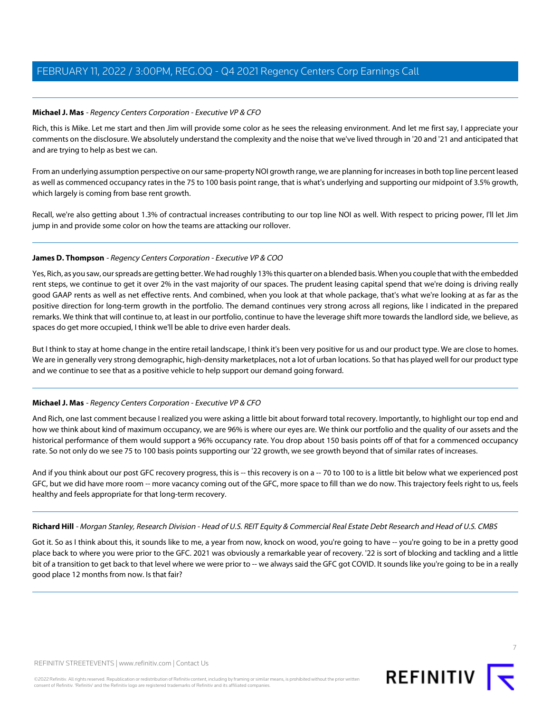## **Michael J. Mas** - Regency Centers Corporation - Executive VP & CFO

Rich, this is Mike. Let me start and then Jim will provide some color as he sees the releasing environment. And let me first say, I appreciate your comments on the disclosure. We absolutely understand the complexity and the noise that we've lived through in '20 and '21 and anticipated that and are trying to help as best we can.

From an underlying assumption perspective on our same-property NOI growth range, we are planning for increases in both top line percent leased as well as commenced occupancy rates in the 75 to 100 basis point range, that is what's underlying and supporting our midpoint of 3.5% growth, which largely is coming from base rent growth.

Recall, we're also getting about 1.3% of contractual increases contributing to our top line NOI as well. With respect to pricing power, I'll let Jim jump in and provide some color on how the teams are attacking our rollover.

#### **James D. Thompson** - Regency Centers Corporation - Executive VP & COO

Yes, Rich, as you saw, our spreads are getting better. We had roughly 13% this quarter on a blended basis. When you couple that with the embedded rent steps, we continue to get it over 2% in the vast majority of our spaces. The prudent leasing capital spend that we're doing is driving really good GAAP rents as well as net effective rents. And combined, when you look at that whole package, that's what we're looking at as far as the positive direction for long-term growth in the portfolio. The demand continues very strong across all regions, like I indicated in the prepared remarks. We think that will continue to, at least in our portfolio, continue to have the leverage shift more towards the landlord side, we believe, as spaces do get more occupied, I think we'll be able to drive even harder deals.

But I think to stay at home change in the entire retail landscape, I think it's been very positive for us and our product type. We are close to homes. We are in generally very strong demographic, high-density marketplaces, not a lot of urban locations. So that has played well for our product type and we continue to see that as a positive vehicle to help support our demand going forward.

#### **Michael J. Mas** - Regency Centers Corporation - Executive VP & CFO

And Rich, one last comment because I realized you were asking a little bit about forward total recovery. Importantly, to highlight our top end and how we think about kind of maximum occupancy, we are 96% is where our eyes are. We think our portfolio and the quality of our assets and the historical performance of them would support a 96% occupancy rate. You drop about 150 basis points off of that for a commenced occupancy rate. So not only do we see 75 to 100 basis points supporting our '22 growth, we see growth beyond that of similar rates of increases.

And if you think about our post GFC recovery progress, this is -- this recovery is on a -- 70 to 100 to is a little bit below what we experienced post GFC, but we did have more room -- more vacancy coming out of the GFC, more space to fill than we do now. This trajectory feels right to us, feels healthy and feels appropriate for that long-term recovery.

**Richard Hill** - Morgan Stanley, Research Division - Head of U.S. REIT Equity & Commercial Real Estate Debt Research and Head of U.S. CMBS

Got it. So as I think about this, it sounds like to me, a year from now, knock on wood, you're going to have -- you're going to be in a pretty good place back to where you were prior to the GFC. 2021 was obviously a remarkable year of recovery. '22 is sort of blocking and tackling and a little bit of a transition to get back to that level where we were prior to -- we always said the GFC got COVID. It sounds like you're going to be in a really good place 12 months from now. Is that fair?

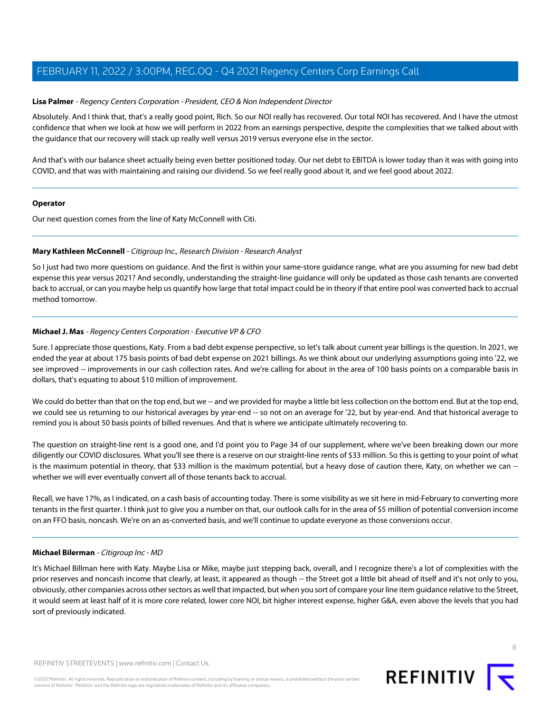#### **Lisa Palmer** - Regency Centers Corporation - President, CEO & Non Independent Director

Absolutely. And I think that, that's a really good point, Rich. So our NOI really has recovered. Our total NOI has recovered. And I have the utmost confidence that when we look at how we will perform in 2022 from an earnings perspective, despite the complexities that we talked about with the guidance that our recovery will stack up really well versus 2019 versus everyone else in the sector.

And that's with our balance sheet actually being even better positioned today. Our net debt to EBITDA is lower today than it was with going into COVID, and that was with maintaining and raising our dividend. So we feel really good about it, and we feel good about 2022.

#### **Operator**

<span id="page-7-0"></span>Our next question comes from the line of Katy McConnell with Citi.

#### **Mary Kathleen McConnell** - Citigroup Inc., Research Division - Research Analyst

So I just had two more questions on guidance. And the first is within your same-store guidance range, what are you assuming for new bad debt expense this year versus 2021? And secondly, understanding the straight-line guidance will only be updated as those cash tenants are converted back to accrual, or can you maybe help us quantify how large that total impact could be in theory if that entire pool was converted back to accrual method tomorrow.

#### **Michael J. Mas** - Regency Centers Corporation - Executive VP & CFO

Sure. I appreciate those questions, Katy. From a bad debt expense perspective, so let's talk about current year billings is the question. In 2021, we ended the year at about 175 basis points of bad debt expense on 2021 billings. As we think about our underlying assumptions going into '22, we see improved -- improvements in our cash collection rates. And we're calling for about in the area of 100 basis points on a comparable basis in dollars, that's equating to about \$10 million of improvement.

We could do better than that on the top end, but we -- and we provided for maybe a little bit less collection on the bottom end. But at the top end, we could see us returning to our historical averages by year-end -- so not on an average for '22, but by year-end. And that historical average to remind you is about 50 basis points of billed revenues. And that is where we anticipate ultimately recovering to.

The question on straight-line rent is a good one, and I'd point you to Page 34 of our supplement, where we've been breaking down our more diligently our COVID disclosures. What you'll see there is a reserve on our straight-line rents of \$33 million. So this is getting to your point of what is the maximum potential in theory, that \$33 million is the maximum potential, but a heavy dose of caution there, Katy, on whether we can -whether we will ever eventually convert all of those tenants back to accrual.

<span id="page-7-1"></span>Recall, we have 17%, as I indicated, on a cash basis of accounting today. There is some visibility as we sit here in mid-February to converting more tenants in the first quarter. I think just to give you a number on that, our outlook calls for in the area of \$5 million of potential conversion income on an FFO basis, noncash. We're on an as-converted basis, and we'll continue to update everyone as those conversions occur.

#### **Michael Bilerman** - Citigroup Inc - MD

It's Michael Billman here with Katy. Maybe Lisa or Mike, maybe just stepping back, overall, and I recognize there's a lot of complexities with the prior reserves and noncash income that clearly, at least, it appeared as though -- the Street got a little bit ahead of itself and it's not only to you, obviously, other companies across other sectors as well that impacted, but when you sort of compare your line item guidance relative to the Street, it would seem at least half of it is more core related, lower core NOI, bit higher interest expense, higher G&A, even above the levels that you had sort of previously indicated.

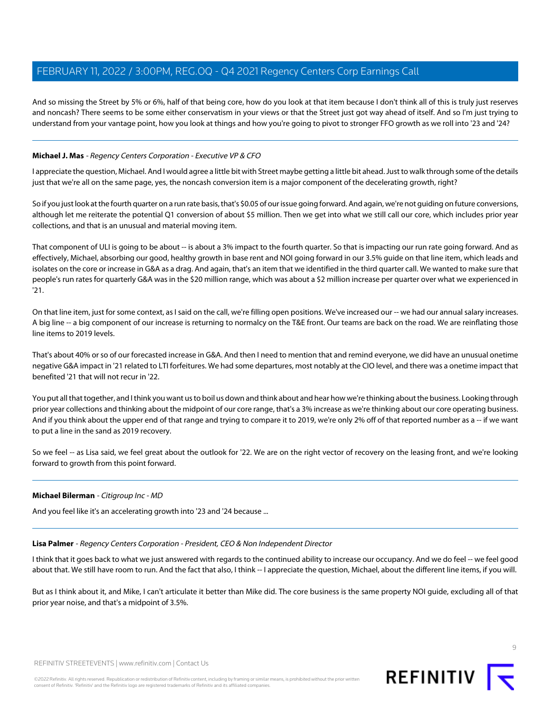And so missing the Street by 5% or 6%, half of that being core, how do you look at that item because I don't think all of this is truly just reserves and noncash? There seems to be some either conservatism in your views or that the Street just got way ahead of itself. And so I'm just trying to understand from your vantage point, how you look at things and how you're going to pivot to stronger FFO growth as we roll into '23 and '24?

# **Michael J. Mas** - Regency Centers Corporation - Executive VP & CFO

I appreciate the question, Michael. And I would agree a little bit with Street maybe getting a little bit ahead. Just to walk through some of the details just that we're all on the same page, yes, the noncash conversion item is a major component of the decelerating growth, right?

So if you just look at the fourth quarter on a run rate basis, that's \$0.05 of our issue going forward. And again, we're not guiding on future conversions, although let me reiterate the potential Q1 conversion of about \$5 million. Then we get into what we still call our core, which includes prior year collections, and that is an unusual and material moving item.

That component of ULI is going to be about -- is about a 3% impact to the fourth quarter. So that is impacting our run rate going forward. And as effectively, Michael, absorbing our good, healthy growth in base rent and NOI going forward in our 3.5% guide on that line item, which leads and isolates on the core or increase in G&A as a drag. And again, that's an item that we identified in the third quarter call. We wanted to make sure that people's run rates for quarterly G&A was in the \$20 million range, which was about a \$2 million increase per quarter over what we experienced in '21.

On that line item, just for some context, as I said on the call, we're filling open positions. We've increased our -- we had our annual salary increases. A big line -- a big component of our increase is returning to normalcy on the T&E front. Our teams are back on the road. We are reinflating those line items to 2019 levels.

That's about 40% or so of our forecasted increase in G&A. And then I need to mention that and remind everyone, we did have an unusual onetime negative G&A impact in '21 related to LTI forfeitures. We had some departures, most notably at the CIO level, and there was a onetime impact that benefited '21 that will not recur in '22.

You put all that together, and I think you want us to boil us down and think about and hear how we're thinking about the business. Looking through prior year collections and thinking about the midpoint of our core range, that's a 3% increase as we're thinking about our core operating business. And if you think about the upper end of that range and trying to compare it to 2019, we're only 2% off of that reported number as a -- if we want to put a line in the sand as 2019 recovery.

So we feel -- as Lisa said, we feel great about the outlook for '22. We are on the right vector of recovery on the leasing front, and we're looking forward to growth from this point forward.

# **Michael Bilerman** - Citigroup Inc - MD

And you feel like it's an accelerating growth into '23 and '24 because ...

# **Lisa Palmer** - Regency Centers Corporation - President, CEO & Non Independent Director

I think that it goes back to what we just answered with regards to the continued ability to increase our occupancy. And we do feel -- we feel good about that. We still have room to run. And the fact that also, I think -- I appreciate the question, Michael, about the different line items, if you will.

But as I think about it, and Mike, I can't articulate it better than Mike did. The core business is the same property NOI guide, excluding all of that prior year noise, and that's a midpoint of 3.5%.

 $\circ$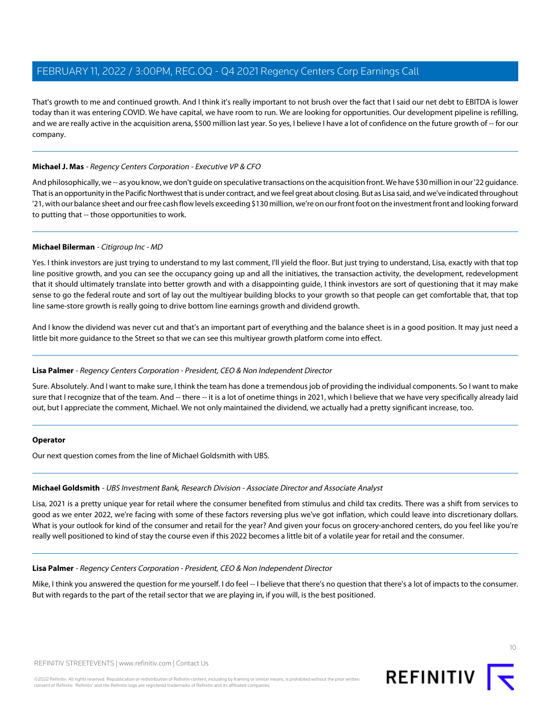That's growth to me and continued growth. And I think it's really important to not brush over the fact that I said our net debt to EBITDA is lower today than it was entering COVID. We have capital, we have room to run. We are looking for opportunities. Our development pipeline is refilling, and we are really active in the acquisition arena, \$500 million last year. So yes, I believe I have a lot of confidence on the future growth of -- for our company.

## **Michael J. Mas** - Regency Centers Corporation - Executive VP & CFO

And philosophically, we -- as you know, we don't guide on speculative transactions on the acquisition front. We have \$30 million in our '22 quidance. That is an opportunity in the Pacific Northwest that is under contract, and we feel great about closing. But as Lisa said, and we've indicated throughout '21, with our balance sheet and our free cash flow levels exceeding \$130 million, we're on our front foot on the investment front and looking forward to putting that -- those opportunities to work.

## **Michael Bilerman** - Citigroup Inc - MD

Yes. I think investors are just trying to understand to my last comment, I'll yield the floor. But just trying to understand, Lisa, exactly with that top line positive growth, and you can see the occupancy going up and all the initiatives, the transaction activity, the development, redevelopment that it should ultimately translate into better growth and with a disappointing guide, I think investors are sort of questioning that it may make sense to go the federal route and sort of lay out the multiyear building blocks to your growth so that people can get comfortable that, that top line same-store growth is really going to drive bottom line earnings growth and dividend growth.

And I know the dividend was never cut and that's an important part of everything and the balance sheet is in a good position. It may just need a little bit more guidance to the Street so that we can see this multiyear growth platform come into effect.

# **Lisa Palmer** - Regency Centers Corporation - President, CEO & Non Independent Director

Sure. Absolutely. And I want to make sure, I think the team has done a tremendous job of providing the individual components. So I want to make sure that I recognize that of the team. And -- there -- it is a lot of onetime things in 2021, which I believe that we have very specifically already laid out, but I appreciate the comment, Michael. We not only maintained the dividend, we actually had a pretty significant increase, too.

#### <span id="page-9-0"></span>**Operator**

Our next question comes from the line of Michael Goldsmith with UBS.

# **Michael Goldsmith** - UBS Investment Bank, Research Division - Associate Director and Associate Analyst

Lisa, 2021 is a pretty unique year for retail where the consumer benefited from stimulus and child tax credits. There was a shift from services to good as we enter 2022, we're facing with some of these factors reversing plus we've got inflation, which could leave into discretionary dollars. What is your outlook for kind of the consumer and retail for the year? And given your focus on grocery-anchored centers, do you feel like you're really well positioned to kind of stay the course even if this 2022 becomes a little bit of a volatile year for retail and the consumer.

#### **Lisa Palmer** - Regency Centers Corporation - President, CEO & Non Independent Director

Mike, I think you answered the question for me yourself. I do feel -- I believe that there's no question that there's a lot of impacts to the consumer. But with regards to the part of the retail sector that we are playing in, if you will, is the best positioned.

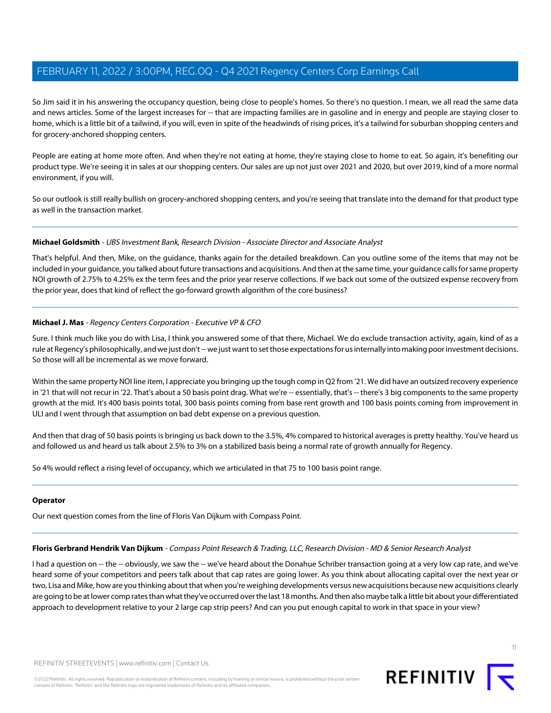So Jim said it in his answering the occupancy question, being close to people's homes. So there's no question. I mean, we all read the same data and news articles. Some of the largest increases for -- that are impacting families are in gasoline and in energy and people are staying closer to home, which is a little bit of a tailwind, if you will, even in spite of the headwinds of rising prices, it's a tailwind for suburban shopping centers and for grocery-anchored shopping centers.

People are eating at home more often. And when they're not eating at home, they're staying close to home to eat. So again, it's benefiting our product type. We're seeing it in sales at our shopping centers. Our sales are up not just over 2021 and 2020, but over 2019, kind of a more normal environment, if you will.

So our outlook is still really bullish on grocery-anchored shopping centers, and you're seeing that translate into the demand for that product type as well in the transaction market.

# **Michael Goldsmith** - UBS Investment Bank, Research Division - Associate Director and Associate Analyst

That's helpful. And then, Mike, on the guidance, thanks again for the detailed breakdown. Can you outline some of the items that may not be included in your guidance, you talked about future transactions and acquisitions. And then at the same time, your guidance calls for same property NOI growth of 2.75% to 4.25% ex the term fees and the prior year reserve collections. If we back out some of the outsized expense recovery from the prior year, does that kind of reflect the go-forward growth algorithm of the core business?

#### **Michael J. Mas** - Regency Centers Corporation - Executive VP & CFO

Sure. I think much like you do with Lisa, I think you answered some of that there, Michael. We do exclude transaction activity, again, kind of as a rule at Regency's philosophically, and we just don't -- we just want to set those expectations for us internally into making poor investment decisions. So those will all be incremental as we move forward.

Within the same property NOI line item, I appreciate you bringing up the tough comp in Q2 from '21. We did have an outsized recovery experience in '21 that will not recur in '22. That's about a 50 basis point drag. What we're -- essentially, that's -- there's 3 big components to the same property growth at the mid. It's 400 basis points total, 300 basis points coming from base rent growth and 100 basis points coming from improvement in ULI and I went through that assumption on bad debt expense on a previous question.

And then that drag of 50 basis points is bringing us back down to the 3.5%, 4% compared to historical averages is pretty healthy. You've heard us and followed us and heard us talk about 2.5% to 3% on a stabilized basis being a normal rate of growth annually for Regency.

So 4% would reflect a rising level of occupancy, which we articulated in that 75 to 100 basis point range.

#### <span id="page-10-0"></span>**Operator**

Our next question comes from the line of Floris Van Dijkum with Compass Point.

**Floris Gerbrand Hendrik Van Dijkum** - Compass Point Research & Trading, LLC, Research Division - MD & Senior Research Analyst

I had a question on -- the -- obviously, we saw the -- we've heard about the Donahue Schriber transaction going at a very low cap rate, and we've heard some of your competitors and peers talk about that cap rates are going lower. As you think about allocating capital over the next year or two, Lisa and Mike, how are you thinking about that when you're weighing developments versus new acquisitions because new acquisitions clearly are going to be at lower comp rates than what they've occurred over the last 18 months. And then also maybe talk a little bit about your differentiated approach to development relative to your 2 large cap strip peers? And can you put enough capital to work in that space in your view?

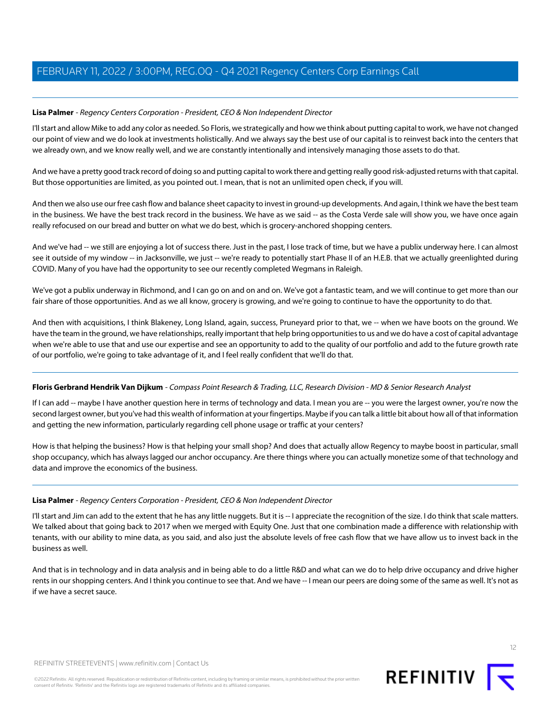# **Lisa Palmer** - Regency Centers Corporation - President, CEO & Non Independent Director

I'll start and allow Mike to add any color as needed. So Floris, we strategically and how we think about putting capital to work, we have not changed our point of view and we do look at investments holistically. And we always say the best use of our capital is to reinvest back into the centers that we already own, and we know really well, and we are constantly intentionally and intensively managing those assets to do that.

And we have a pretty good track record of doing so and putting capital to work there and getting really good risk-adjusted returns with that capital. But those opportunities are limited, as you pointed out. I mean, that is not an unlimited open check, if you will.

And then we also use our free cash flow and balance sheet capacity to invest in ground-up developments. And again, I think we have the best team in the business. We have the best track record in the business. We have as we said -- as the Costa Verde sale will show you, we have once again really refocused on our bread and butter on what we do best, which is grocery-anchored shopping centers.

And we've had -- we still are enjoying a lot of success there. Just in the past, I lose track of time, but we have a publix underway here. I can almost see it outside of my window -- in Jacksonville, we just -- we're ready to potentially start Phase II of an H.E.B. that we actually greenlighted during COVID. Many of you have had the opportunity to see our recently completed Wegmans in Raleigh.

We've got a publix underway in Richmond, and I can go on and on and on. We've got a fantastic team, and we will continue to get more than our fair share of those opportunities. And as we all know, grocery is growing, and we're going to continue to have the opportunity to do that.

And then with acquisitions, I think Blakeney, Long Island, again, success, Pruneyard prior to that, we -- when we have boots on the ground. We have the team in the ground, we have relationships, really important that help bring opportunities to us and we do have a cost of capital advantage when we're able to use that and use our expertise and see an opportunity to add to the quality of our portfolio and add to the future growth rate of our portfolio, we're going to take advantage of it, and I feel really confident that we'll do that.

# **Floris Gerbrand Hendrik Van Dijkum** - Compass Point Research & Trading, LLC, Research Division - MD & Senior Research Analyst

If I can add -- maybe I have another question here in terms of technology and data. I mean you are -- you were the largest owner, you're now the second largest owner, but you've had this wealth of information at your fingertips. Maybe if you can talk a little bit about how all of that information and getting the new information, particularly regarding cell phone usage or traffic at your centers?

How is that helping the business? How is that helping your small shop? And does that actually allow Regency to maybe boost in particular, small shop occupancy, which has always lagged our anchor occupancy. Are there things where you can actually monetize some of that technology and data and improve the economics of the business.

# **Lisa Palmer** - Regency Centers Corporation - President, CEO & Non Independent Director

I'll start and Jim can add to the extent that he has any little nuggets. But it is -- I appreciate the recognition of the size. I do think that scale matters. We talked about that going back to 2017 when we merged with Equity One. Just that one combination made a difference with relationship with tenants, with our ability to mine data, as you said, and also just the absolute levels of free cash flow that we have allow us to invest back in the business as well.

And that is in technology and in data analysis and in being able to do a little R&D and what can we do to help drive occupancy and drive higher rents in our shopping centers. And I think you continue to see that. And we have -- I mean our peers are doing some of the same as well. It's not as if we have a secret sauce.

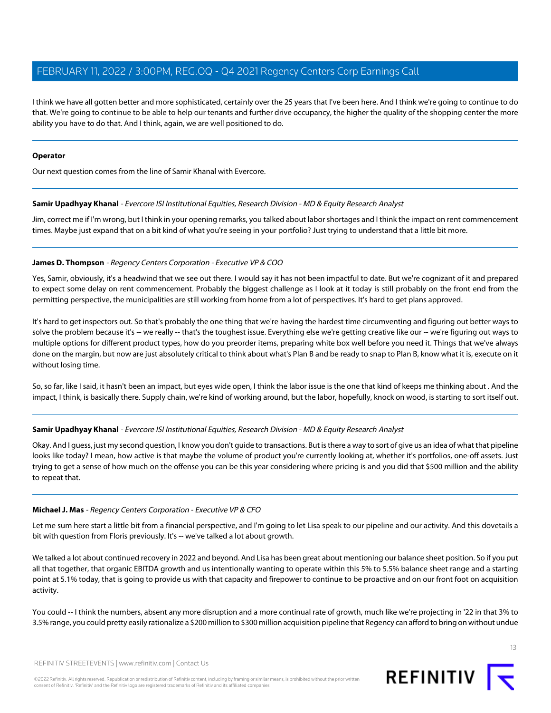I think we have all gotten better and more sophisticated, certainly over the 25 years that I've been here. And I think we're going to continue to do that. We're going to continue to be able to help our tenants and further drive occupancy, the higher the quality of the shopping center the more ability you have to do that. And I think, again, we are well positioned to do.

#### **Operator**

<span id="page-12-0"></span>Our next question comes from the line of Samir Khanal with Evercore.

#### **Samir Upadhyay Khanal** - Evercore ISI Institutional Equities, Research Division - MD & Equity Research Analyst

Jim, correct me if I'm wrong, but I think in your opening remarks, you talked about labor shortages and I think the impact on rent commencement times. Maybe just expand that on a bit kind of what you're seeing in your portfolio? Just trying to understand that a little bit more.

# **James D. Thompson** - Regency Centers Corporation - Executive VP & COO

Yes, Samir, obviously, it's a headwind that we see out there. I would say it has not been impactful to date. But we're cognizant of it and prepared to expect some delay on rent commencement. Probably the biggest challenge as I look at it today is still probably on the front end from the permitting perspective, the municipalities are still working from home from a lot of perspectives. It's hard to get plans approved.

It's hard to get inspectors out. So that's probably the one thing that we're having the hardest time circumventing and figuring out better ways to solve the problem because it's -- we really -- that's the toughest issue. Everything else we're getting creative like our -- we're figuring out ways to multiple options for different product types, how do you preorder items, preparing white box well before you need it. Things that we've always done on the margin, but now are just absolutely critical to think about what's Plan B and be ready to snap to Plan B, know what it is, execute on it without losing time.

So, so far, like I said, it hasn't been an impact, but eyes wide open, I think the labor issue is the one that kind of keeps me thinking about . And the impact, I think, is basically there. Supply chain, we're kind of working around, but the labor, hopefully, knock on wood, is starting to sort itself out.

# **Samir Upadhyay Khanal** - Evercore ISI Institutional Equities, Research Division - MD & Equity Research Analyst

Okay. And I guess, just my second question, I know you don't guide to transactions. But is there a way to sort of give us an idea of what that pipeline looks like today? I mean, how active is that maybe the volume of product you're currently looking at, whether it's portfolios, one-off assets. Just trying to get a sense of how much on the offense you can be this year considering where pricing is and you did that \$500 million and the ability to repeat that.

#### **Michael J. Mas** - Regency Centers Corporation - Executive VP & CFO

Let me sum here start a little bit from a financial perspective, and I'm going to let Lisa speak to our pipeline and our activity. And this dovetails a bit with question from Floris previously. It's -- we've talked a lot about growth.

We talked a lot about continued recovery in 2022 and beyond. And Lisa has been great about mentioning our balance sheet position. So if you put all that together, that organic EBITDA growth and us intentionally wanting to operate within this 5% to 5.5% balance sheet range and a starting point at 5.1% today, that is going to provide us with that capacity and firepower to continue to be proactive and on our front foot on acquisition activity.

You could -- I think the numbers, absent any more disruption and a more continual rate of growth, much like we're projecting in '22 in that 3% to 3.5% range, you could pretty easily rationalize a \$200 million to \$300 million acquisition pipeline that Regency can afford to bring on without undue



©2022 Refinitiv. All rights reserved. Republication or redistribution of Refinitiv content, including by framing or similar means, is prohibited without the prior written consent of Refinitiv. 'Refinitiv' and the Refinitiv logo are registered trademarks of Refinitiv and its affiliated companies.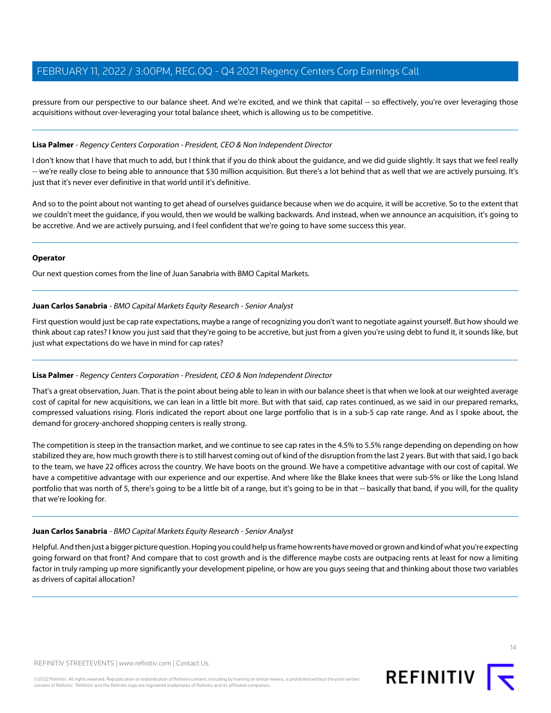pressure from our perspective to our balance sheet. And we're excited, and we think that capital -- so effectively, you're over leveraging those acquisitions without over-leveraging your total balance sheet, which is allowing us to be competitive.

#### **Lisa Palmer** - Regency Centers Corporation - President, CEO & Non Independent Director

I don't know that I have that much to add, but I think that if you do think about the guidance, and we did guide slightly. It says that we feel really -- we're really close to being able to announce that \$30 million acquisition. But there's a lot behind that as well that we are actively pursuing. It's just that it's never ever definitive in that world until it's definitive.

And so to the point about not wanting to get ahead of ourselves guidance because when we do acquire, it will be accretive. So to the extent that we couldn't meet the guidance, if you would, then we would be walking backwards. And instead, when we announce an acquisition, it's going to be accretive. And we are actively pursuing, and I feel confident that we're going to have some success this year.

#### **Operator**

<span id="page-13-0"></span>Our next question comes from the line of Juan Sanabria with BMO Capital Markets.

# **Juan Carlos Sanabria** - BMO Capital Markets Equity Research - Senior Analyst

First question would just be cap rate expectations, maybe a range of recognizing you don't want to negotiate against yourself. But how should we think about cap rates? I know you just said that they're going to be accretive, but just from a given you're using debt to fund it, it sounds like, but just what expectations do we have in mind for cap rates?

# **Lisa Palmer** - Regency Centers Corporation - President, CEO & Non Independent Director

That's a great observation, Juan. That is the point about being able to lean in with our balance sheet is that when we look at our weighted average cost of capital for new acquisitions, we can lean in a little bit more. But with that said, cap rates continued, as we said in our prepared remarks, compressed valuations rising. Floris indicated the report about one large portfolio that is in a sub-5 cap rate range. And as I spoke about, the demand for grocery-anchored shopping centers is really strong.

The competition is steep in the transaction market, and we continue to see cap rates in the 4.5% to 5.5% range depending on depending on how stabilized they are, how much growth there is to still harvest coming out of kind of the disruption from the last 2 years. But with that said, I go back to the team, we have 22 offices across the country. We have boots on the ground. We have a competitive advantage with our cost of capital. We have a competitive advantage with our experience and our expertise. And where like the Blake knees that were sub-5% or like the Long Island portfolio that was north of 5, there's going to be a little bit of a range, but it's going to be in that -- basically that band, if you will, for the quality that we're looking for.

#### **Juan Carlos Sanabria** - BMO Capital Markets Equity Research - Senior Analyst

Helpful. And then just a bigger picture question. Hoping you could help us frame how rents have moved or grown and kind of what you're expecting going forward on that front? And compare that to cost growth and is the difference maybe costs are outpacing rents at least for now a limiting factor in truly ramping up more significantly your development pipeline, or how are you guys seeing that and thinking about those two variables as drivers of capital allocation?

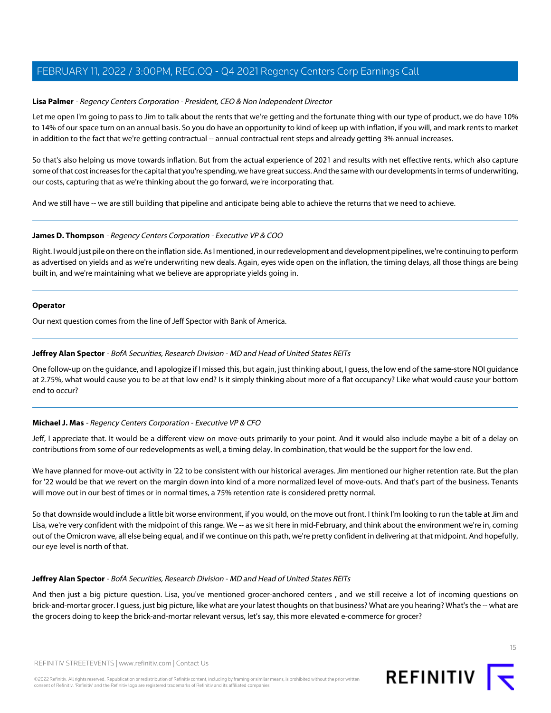# **Lisa Palmer** - Regency Centers Corporation - President, CEO & Non Independent Director

Let me open I'm going to pass to Jim to talk about the rents that we're getting and the fortunate thing with our type of product, we do have 10% to 14% of our space turn on an annual basis. So you do have an opportunity to kind of keep up with inflation, if you will, and mark rents to market in addition to the fact that we're getting contractual -- annual contractual rent steps and already getting 3% annual increases.

So that's also helping us move towards inflation. But from the actual experience of 2021 and results with net effective rents, which also capture some of that cost increases for the capital that you're spending, we have great success. And the same with our developments in terms of underwriting, our costs, capturing that as we're thinking about the go forward, we're incorporating that.

And we still have -- we are still building that pipeline and anticipate being able to achieve the returns that we need to achieve.

#### **James D. Thompson** - Regency Centers Corporation - Executive VP & COO

Right. I would just pile on there on the inflation side. As I mentioned, in our redevelopment and development pipelines, we're continuing to perform as advertised on yields and as we're underwriting new deals. Again, eyes wide open on the inflation, the timing delays, all those things are being built in, and we're maintaining what we believe are appropriate yields going in.

#### **Operator**

<span id="page-14-0"></span>Our next question comes from the line of Jeff Spector with Bank of America.

#### **Jeffrey Alan Spector** - BofA Securities, Research Division - MD and Head of United States REITs

One follow-up on the guidance, and I apologize if I missed this, but again, just thinking about, I guess, the low end of the same-store NOI guidance at 2.75%, what would cause you to be at that low end? Is it simply thinking about more of a flat occupancy? Like what would cause your bottom end to occur?

# **Michael J. Mas** - Regency Centers Corporation - Executive VP & CFO

Jeff, I appreciate that. It would be a different view on move-outs primarily to your point. And it would also include maybe a bit of a delay on contributions from some of our redevelopments as well, a timing delay. In combination, that would be the support for the low end.

We have planned for move-out activity in '22 to be consistent with our historical averages. Jim mentioned our higher retention rate. But the plan for '22 would be that we revert on the margin down into kind of a more normalized level of move-outs. And that's part of the business. Tenants will move out in our best of times or in normal times, a 75% retention rate is considered pretty normal.

So that downside would include a little bit worse environment, if you would, on the move out front. I think I'm looking to run the table at Jim and Lisa, we're very confident with the midpoint of this range. We -- as we sit here in mid-February, and think about the environment we're in, coming out of the Omicron wave, all else being equal, and if we continue on this path, we're pretty confident in delivering at that midpoint. And hopefully, our eye level is north of that.

#### **Jeffrey Alan Spector** - BofA Securities, Research Division - MD and Head of United States REITs

And then just a big picture question. Lisa, you've mentioned grocer-anchored centers , and we still receive a lot of incoming questions on brick-and-mortar grocer. I guess, just big picture, like what are your latest thoughts on that business? What are you hearing? What's the -- what are the grocers doing to keep the brick-and-mortar relevant versus, let's say, this more elevated e-commerce for grocer?

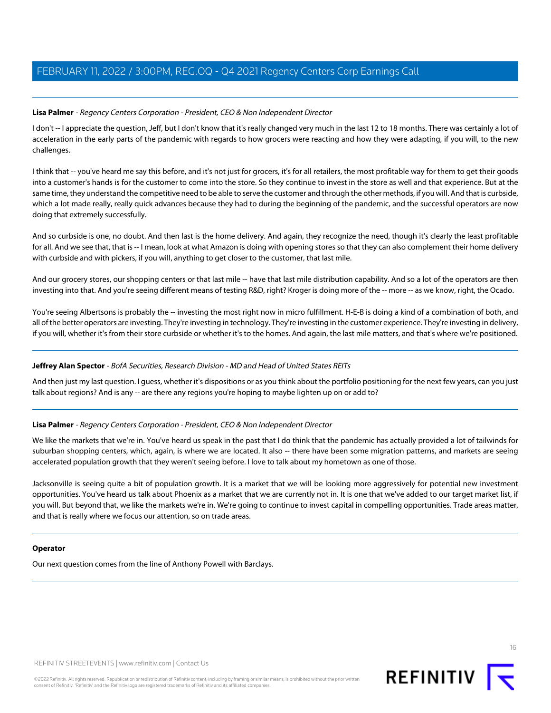# **Lisa Palmer** - Regency Centers Corporation - President, CEO & Non Independent Director

I don't -- I appreciate the question, Jeff, but I don't know that it's really changed very much in the last 12 to 18 months. There was certainly a lot of acceleration in the early parts of the pandemic with regards to how grocers were reacting and how they were adapting, if you will, to the new challenges.

I think that -- you've heard me say this before, and it's not just for grocers, it's for all retailers, the most profitable way for them to get their goods into a customer's hands is for the customer to come into the store. So they continue to invest in the store as well and that experience. But at the same time, they understand the competitive need to be able to serve the customer and through the other methods, if you will. And that is curbside, which a lot made really, really quick advances because they had to during the beginning of the pandemic, and the successful operators are now doing that extremely successfully.

And so curbside is one, no doubt. And then last is the home delivery. And again, they recognize the need, though it's clearly the least profitable for all. And we see that, that is -- I mean, look at what Amazon is doing with opening stores so that they can also complement their home delivery with curbside and with pickers, if you will, anything to get closer to the customer, that last mile.

And our grocery stores, our shopping centers or that last mile -- have that last mile distribution capability. And so a lot of the operators are then investing into that. And you're seeing different means of testing R&D, right? Kroger is doing more of the -- more -- as we know, right, the Ocado.

You're seeing Albertsons is probably the -- investing the most right now in micro fulfillment. H-E-B is doing a kind of a combination of both, and all of the better operators are investing. They're investing in technology. They're investing in the customer experience. They're investing in delivery, if you will, whether it's from their store curbside or whether it's to the homes. And again, the last mile matters, and that's where we're positioned.

# **Jeffrey Alan Spector** - BofA Securities, Research Division - MD and Head of United States REITs

And then just my last question. I guess, whether it's dispositions or as you think about the portfolio positioning for the next few years, can you just talk about regions? And is any -- are there any regions you're hoping to maybe lighten up on or add to?

# **Lisa Palmer** - Regency Centers Corporation - President, CEO & Non Independent Director

We like the markets that we're in. You've heard us speak in the past that I do think that the pandemic has actually provided a lot of tailwinds for suburban shopping centers, which, again, is where we are located. It also -- there have been some migration patterns, and markets are seeing accelerated population growth that they weren't seeing before. I love to talk about my hometown as one of those.

Jacksonville is seeing quite a bit of population growth. It is a market that we will be looking more aggressively for potential new investment opportunities. You've heard us talk about Phoenix as a market that we are currently not in. It is one that we've added to our target market list, if you will. But beyond that, we like the markets we're in. We're going to continue to invest capital in compelling opportunities. Trade areas matter, and that is really where we focus our attention, so on trade areas.

# **Operator**

Our next question comes from the line of Anthony Powell with Barclays.

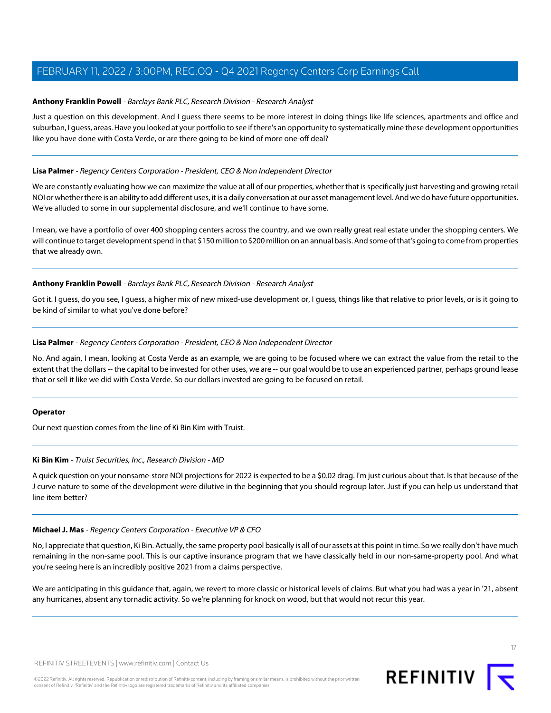## <span id="page-16-0"></span>**Anthony Franklin Powell** - Barclays Bank PLC, Research Division - Research Analyst

Just a question on this development. And I guess there seems to be more interest in doing things like life sciences, apartments and office and suburban, I guess, areas. Have you looked at your portfolio to see if there's an opportunity to systematically mine these development opportunities like you have done with Costa Verde, or are there going to be kind of more one-off deal?

#### **Lisa Palmer** - Regency Centers Corporation - President, CEO & Non Independent Director

We are constantly evaluating how we can maximize the value at all of our properties, whether that is specifically just harvesting and growing retail NOI or whether there is an ability to add different uses, it is a daily conversation at our asset management level. And we do have future opportunities. We've alluded to some in our supplemental disclosure, and we'll continue to have some.

I mean, we have a portfolio of over 400 shopping centers across the country, and we own really great real estate under the shopping centers. We will continue to target development spend in that \$150 million to \$200 million on an annual basis. And some of that's going to come from properties that we already own.

#### **Anthony Franklin Powell** - Barclays Bank PLC, Research Division - Research Analyst

Got it. I guess, do you see, I guess, a higher mix of new mixed-use development or, I guess, things like that relative to prior levels, or is it going to be kind of similar to what you've done before?

#### **Lisa Palmer** - Regency Centers Corporation - President, CEO & Non Independent Director

No. And again, I mean, looking at Costa Verde as an example, we are going to be focused where we can extract the value from the retail to the extent that the dollars -- the capital to be invested for other uses, we are -- our goal would be to use an experienced partner, perhaps ground lease that or sell it like we did with Costa Verde. So our dollars invested are going to be focused on retail.

#### <span id="page-16-1"></span>**Operator**

Our next question comes from the line of Ki Bin Kim with Truist.

# **Ki Bin Kim** - Truist Securities, Inc., Research Division - MD

A quick question on your nonsame-store NOI projections for 2022 is expected to be a \$0.02 drag. I'm just curious about that. Is that because of the J curve nature to some of the development were dilutive in the beginning that you should regroup later. Just if you can help us understand that line item better?

#### **Michael J. Mas** - Regency Centers Corporation - Executive VP & CFO

No, I appreciate that question, Ki Bin. Actually, the same property pool basically is all of our assets at this point in time. So we really don't have much remaining in the non-same pool. This is our captive insurance program that we have classically held in our non-same-property pool. And what you're seeing here is an incredibly positive 2021 from a claims perspective.

We are anticipating in this guidance that, again, we revert to more classic or historical levels of claims. But what you had was a year in '21, absent any hurricanes, absent any tornadic activity. So we're planning for knock on wood, but that would not recur this year.

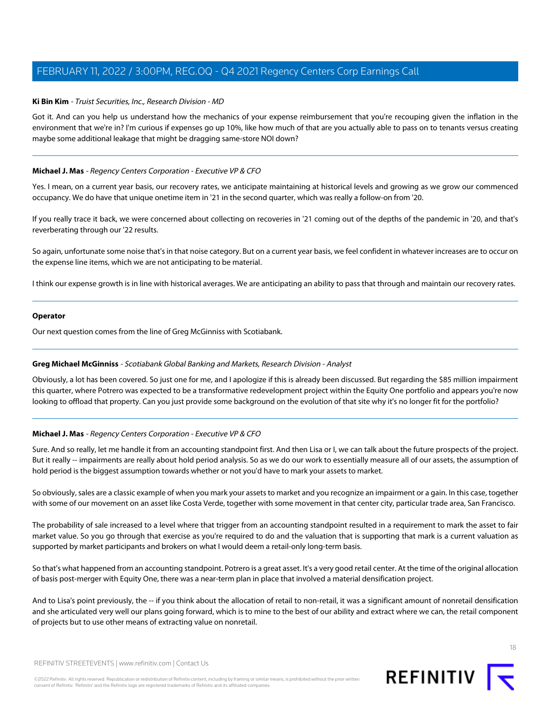## **Ki Bin Kim** - Truist Securities, Inc., Research Division - MD

Got it. And can you help us understand how the mechanics of your expense reimbursement that you're recouping given the inflation in the environment that we're in? I'm curious if expenses go up 10%, like how much of that are you actually able to pass on to tenants versus creating maybe some additional leakage that might be dragging same-store NOI down?

#### **Michael J. Mas** - Regency Centers Corporation - Executive VP & CFO

Yes. I mean, on a current year basis, our recovery rates, we anticipate maintaining at historical levels and growing as we grow our commenced occupancy. We do have that unique onetime item in '21 in the second quarter, which was really a follow-on from '20.

If you really trace it back, we were concerned about collecting on recoveries in '21 coming out of the depths of the pandemic in '20, and that's reverberating through our '22 results.

So again, unfortunate some noise that's in that noise category. But on a current year basis, we feel confident in whatever increases are to occur on the expense line items, which we are not anticipating to be material.

I think our expense growth is in line with historical averages. We are anticipating an ability to pass that through and maintain our recovery rates.

#### **Operator**

<span id="page-17-0"></span>Our next question comes from the line of Greg McGinniss with Scotiabank.

# **Greg Michael McGinniss** - Scotiabank Global Banking and Markets, Research Division - Analyst

Obviously, a lot has been covered. So just one for me, and I apologize if this is already been discussed. But regarding the \$85 million impairment this quarter, where Potrero was expected to be a transformative redevelopment project within the Equity One portfolio and appears you're now looking to offload that property. Can you just provide some background on the evolution of that site why it's no longer fit for the portfolio?

# **Michael J. Mas** - Regency Centers Corporation - Executive VP & CFO

Sure. And so really, let me handle it from an accounting standpoint first. And then Lisa or I, we can talk about the future prospects of the project. But it really -- impairments are really about hold period analysis. So as we do our work to essentially measure all of our assets, the assumption of hold period is the biggest assumption towards whether or not you'd have to mark your assets to market.

So obviously, sales are a classic example of when you mark your assets to market and you recognize an impairment or a gain. In this case, together with some of our movement on an asset like Costa Verde, together with some movement in that center city, particular trade area, San Francisco.

The probability of sale increased to a level where that trigger from an accounting standpoint resulted in a requirement to mark the asset to fair market value. So you go through that exercise as you're required to do and the valuation that is supporting that mark is a current valuation as supported by market participants and brokers on what I would deem a retail-only long-term basis.

So that's what happened from an accounting standpoint. Potrero is a great asset. It's a very good retail center. At the time of the original allocation of basis post-merger with Equity One, there was a near-term plan in place that involved a material densification project.

And to Lisa's point previously, the -- if you think about the allocation of retail to non-retail, it was a significant amount of nonretail densification and she articulated very well our plans going forward, which is to mine to the best of our ability and extract where we can, the retail component of projects but to use other means of extracting value on nonretail.

18

REFINITIV STREETEVENTS | [www.refinitiv.com](https://www.refinitiv.com/) | [Contact Us](https://www.refinitiv.com/en/contact-us)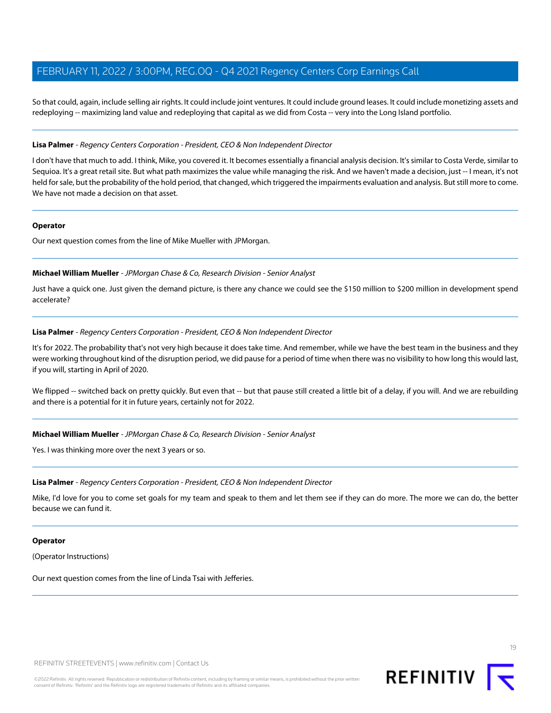So that could, again, include selling air rights. It could include joint ventures. It could include ground leases. It could include monetizing assets and redeploying -- maximizing land value and redeploying that capital as we did from Costa -- very into the Long Island portfolio.

#### **Lisa Palmer** - Regency Centers Corporation - President, CEO & Non Independent Director

I don't have that much to add. I think, Mike, you covered it. It becomes essentially a financial analysis decision. It's similar to Costa Verde, similar to Sequioa. It's a great retail site. But what path maximizes the value while managing the risk. And we haven't made a decision, just -- I mean, it's not held for sale, but the probability of the hold period, that changed, which triggered the impairments evaluation and analysis. But still more to come. We have not made a decision on that asset.

#### **Operator**

<span id="page-18-0"></span>Our next question comes from the line of Mike Mueller with JPMorgan.

## **Michael William Mueller** - JPMorgan Chase & Co, Research Division - Senior Analyst

Just have a quick one. Just given the demand picture, is there any chance we could see the \$150 million to \$200 million in development spend accelerate?

#### **Lisa Palmer** - Regency Centers Corporation - President, CEO & Non Independent Director

It's for 2022. The probability that's not very high because it does take time. And remember, while we have the best team in the business and they were working throughout kind of the disruption period, we did pause for a period of time when there was no visibility to how long this would last, if you will, starting in April of 2020.

We flipped -- switched back on pretty quickly. But even that -- but that pause still created a little bit of a delay, if you will. And we are rebuilding and there is a potential for it in future years, certainly not for 2022.

#### **Michael William Mueller** - JPMorgan Chase & Co, Research Division - Senior Analyst

Yes. I was thinking more over the next 3 years or so.

#### **Lisa Palmer** - Regency Centers Corporation - President, CEO & Non Independent Director

Mike, I'd love for you to come set goals for my team and speak to them and let them see if they can do more. The more we can do, the better because we can fund it.

#### **Operator**

(Operator Instructions)

Our next question comes from the line of Linda Tsai with Jefferies.

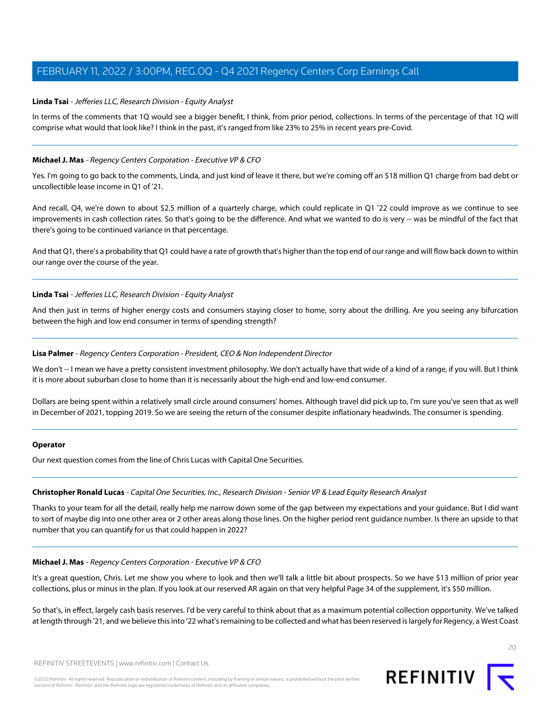# <span id="page-19-1"></span>**Linda Tsai** - Jefferies LLC, Research Division - Equity Analyst

In terms of the comments that 1Q would see a bigger benefit, I think, from prior period, collections. In terms of the percentage of that 1Q will comprise what would that look like? I think in the past, it's ranged from like 23% to 25% in recent years pre-Covid.

# **Michael J. Mas** - Regency Centers Corporation - Executive VP & CFO

Yes. I'm going to go back to the comments, Linda, and just kind of leave it there, but we're coming off an \$18 million Q1 charge from bad debt or uncollectible lease income in Q1 of '21.

And recall, Q4, we're down to about \$2.5 million of a quarterly charge, which could replicate in Q1 '22 could improve as we continue to see improvements in cash collection rates. So that's going to be the difference. And what we wanted to do is very -- was be mindful of the fact that there's going to be continued variance in that percentage.

And that Q1, there's a probability that Q1 could have a rate of growth that's higher than the top end of our range and will flow back down to within our range over the course of the year.

# **Linda Tsai** - Jefferies LLC, Research Division - Equity Analyst

And then just in terms of higher energy costs and consumers staying closer to home, sorry about the drilling. Are you seeing any bifurcation between the high and low end consumer in terms of spending strength?

## **Lisa Palmer** - Regency Centers Corporation - President, CEO & Non Independent Director

We don't -- I mean we have a pretty consistent investment philosophy. We don't actually have that wide of a kind of a range, if you will. But I think it is more about suburban close to home than it is necessarily about the high-end and low-end consumer.

Dollars are being spent within a relatively small circle around consumers' homes. Although travel did pick up to, I'm sure you've seen that as well in December of 2021, topping 2019. So we are seeing the return of the consumer despite inflationary headwinds. The consumer is spending.

#### <span id="page-19-0"></span>**Operator**

Our next question comes from the line of Chris Lucas with Capital One Securities.

# **Christopher Ronald Lucas** - Capital One Securities, Inc., Research Division - Senior VP & Lead Equity Research Analyst

Thanks to your team for all the detail, really help me narrow down some of the gap between my expectations and your guidance. But I did want to sort of maybe dig into one other area or 2 other areas along those lines. On the higher period rent guidance number. Is there an upside to that number that you can quantify for us that could happen in 2022?

# **Michael J. Mas** - Regency Centers Corporation - Executive VP & CFO

It's a great question, Chris. Let me show you where to look and then we'll talk a little bit about prospects. So we have \$13 million of prior year collections, plus or minus in the plan. If you look at our reserved AR again on that very helpful Page 34 of the supplement, it's \$50 million.

So that's, in effect, largely cash basis reserves. I'd be very careful to think about that as a maximum potential collection opportunity. We've talked at length through '21, and we believe this into '22 what's remaining to be collected and what has been reserved is largely for Regency, a West Coast



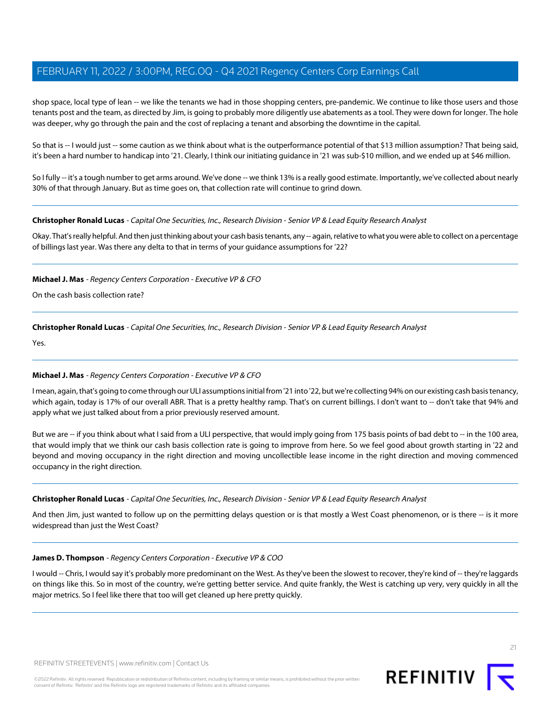shop space, local type of lean -- we like the tenants we had in those shopping centers, pre-pandemic. We continue to like those users and those tenants post and the team, as directed by Jim, is going to probably more diligently use abatements as a tool. They were down for longer. The hole was deeper, why go through the pain and the cost of replacing a tenant and absorbing the downtime in the capital.

So that is -- I would just -- some caution as we think about what is the outperformance potential of that \$13 million assumption? That being said, it's been a hard number to handicap into '21. Clearly, I think our initiating guidance in '21 was sub-\$10 million, and we ended up at \$46 million.

So I fully -- it's a tough number to get arms around. We've done -- we think 13% is a really good estimate. Importantly, we've collected about nearly 30% of that through January. But as time goes on, that collection rate will continue to grind down.

#### **Christopher Ronald Lucas** - Capital One Securities, Inc., Research Division - Senior VP & Lead Equity Research Analyst

Okay. That's really helpful. And then just thinking about your cash basis tenants, any -- again, relative to what you were able to collect on a percentage of billings last year. Was there any delta to that in terms of your guidance assumptions for '22?

# **Michael J. Mas** - Regency Centers Corporation - Executive VP & CFO

On the cash basis collection rate?

**Christopher Ronald Lucas** - Capital One Securities, Inc., Research Division - Senior VP & Lead Equity Research Analyst

Yes.

# **Michael J. Mas** - Regency Centers Corporation - Executive VP & CFO

I mean, again, that's going to come through our ULI assumptions initial from '21 into '22, but we're collecting 94% on our existing cash basis tenancy, which again, today is 17% of our overall ABR. That is a pretty healthy ramp. That's on current billings. I don't want to -- don't take that 94% and apply what we just talked about from a prior previously reserved amount.

But we are -- if you think about what I said from a ULI perspective, that would imply going from 175 basis points of bad debt to -- in the 100 area, that would imply that we think our cash basis collection rate is going to improve from here. So we feel good about growth starting in '22 and beyond and moving occupancy in the right direction and moving uncollectible lease income in the right direction and moving commenced occupancy in the right direction.

#### **Christopher Ronald Lucas** - Capital One Securities, Inc., Research Division - Senior VP & Lead Equity Research Analyst

And then Jim, just wanted to follow up on the permitting delays question or is that mostly a West Coast phenomenon, or is there -- is it more widespread than just the West Coast?

#### **James D. Thompson** - Regency Centers Corporation - Executive VP & COO

I would -- Chris, I would say it's probably more predominant on the West. As they've been the slowest to recover, they're kind of -- they're laggards on things like this. So in most of the country, we're getting better service. And quite frankly, the West is catching up very, very quickly in all the major metrics. So I feel like there that too will get cleaned up here pretty quickly.

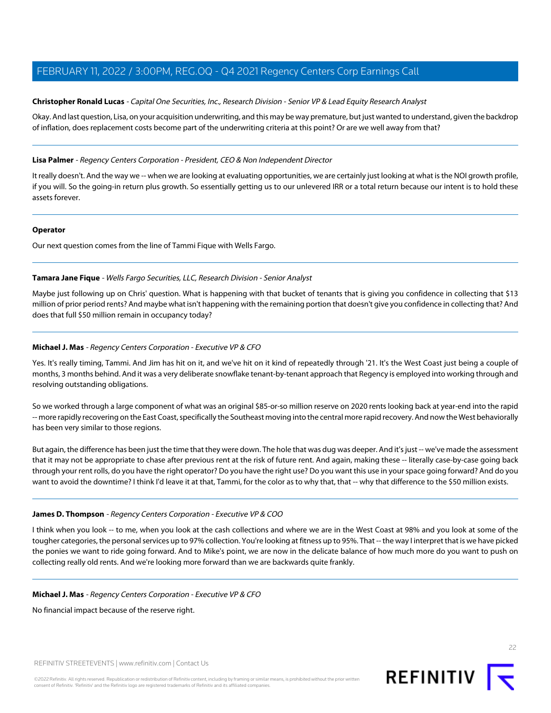# **Christopher Ronald Lucas** - Capital One Securities, Inc., Research Division - Senior VP & Lead Equity Research Analyst

Okay. And last question, Lisa, on your acquisition underwriting, and this may be way premature, but just wanted to understand, given the backdrop of inflation, does replacement costs become part of the underwriting criteria at this point? Or are we well away from that?

## **Lisa Palmer** - Regency Centers Corporation - President, CEO & Non Independent Director

It really doesn't. And the way we -- when we are looking at evaluating opportunities, we are certainly just looking at what is the NOI growth profile, if you will. So the going-in return plus growth. So essentially getting us to our unlevered IRR or a total return because our intent is to hold these assets forever.

# **Operator**

<span id="page-21-0"></span>Our next question comes from the line of Tammi Fique with Wells Fargo.

# **Tamara Jane Fique** - Wells Fargo Securities, LLC, Research Division - Senior Analyst

Maybe just following up on Chris' question. What is happening with that bucket of tenants that is giving you confidence in collecting that \$13 million of prior period rents? And maybe what isn't happening with the remaining portion that doesn't give you confidence in collecting that? And does that full \$50 million remain in occupancy today?

# **Michael J. Mas** - Regency Centers Corporation - Executive VP & CFO

Yes. It's really timing, Tammi. And Jim has hit on it, and we've hit on it kind of repeatedly through '21. It's the West Coast just being a couple of months, 3 months behind. And it was a very deliberate snowflake tenant-by-tenant approach that Regency is employed into working through and resolving outstanding obligations.

So we worked through a large component of what was an original \$85-or-so million reserve on 2020 rents looking back at year-end into the rapid -- more rapidly recovering on the East Coast, specifically the Southeast moving into the central more rapid recovery. And now the West behaviorally has been very similar to those regions.

But again, the difference has been just the time that they were down. The hole that was dug was deeper. And it's just -- we've made the assessment that it may not be appropriate to chase after previous rent at the risk of future rent. And again, making these -- literally case-by-case going back through your rent rolls, do you have the right operator? Do you have the right use? Do you want this use in your space going forward? And do you want to avoid the downtime? I think I'd leave it at that, Tammi, for the color as to why that, that -- why that difference to the \$50 million exists.

# **James D. Thompson** - Regency Centers Corporation - Executive VP & COO

I think when you look -- to me, when you look at the cash collections and where we are in the West Coast at 98% and you look at some of the tougher categories, the personal services up to 97% collection. You're looking at fitness up to 95%. That -- the way I interpret that is we have picked the ponies we want to ride going forward. And to Mike's point, we are now in the delicate balance of how much more do you want to push on collecting really old rents. And we're looking more forward than we are backwards quite frankly.

# **Michael J. Mas** - Regency Centers Corporation - Executive VP & CFO

No financial impact because of the reserve right.

REFINITIV STREETEVENTS | [www.refinitiv.com](https://www.refinitiv.com/) | [Contact Us](https://www.refinitiv.com/en/contact-us)